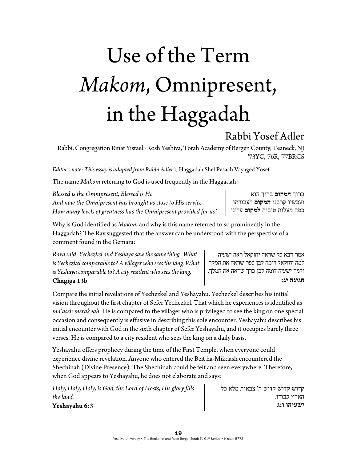## Use of the Term *Makom*, Omnipresent, in the Haggadah

## Rabbi Yosef Adler

Rabbi, Congregation Rinat Yisrael ∙ Rosh Yeshiva, Torah Academy of Bergen County, Teaneck, NJ '73YC, '76R, '77BRGS

*Editor's note: This essay is adapted from Rabbi Adler's,* Haggadah Shel Pesach Vayaged Yosef.

The name *Makom* referring to God is used frequently in the Haggadah:

*Blessed is the Omnipresent, Blessed is He And now the Omnipresent has brought us close to His service. How many levels of greatness has the Omnipresent provided for us?*

ברוך **המקום** ברוך הוא. ועכשיו קרבנו **המקום** לעבודתו. כמה מעלות טובות **למקום** עלינו.

אמר רבא כל שראה יחזקאל ראה ישעיה למה יחזקאל דומה לבן כפר שראה את המלך ולמה ישעיה דומה לבן כרך שראה את המלך.

**חגיגה יג:** 

Why is God identified as *Makom* and why is this name referred to so prominently in the Haggadah? The Rav suggested that the answer can be understood with the perspective of a comment found in the Gemara:

*Rava said: Yechezkel and Yeshaya saw the same thing. What is Yechezkel comparable to? A villager who sees the king. What is Yeshaya comparable to? A city resident who sees the king.*  **Chagiga 13b** 

Compare the initial revelations of Yechezkel and Yeshayahu. Yechezkel describes his initial vision throughout the first chapter of Sefer Yechezkel. That which he experiences is identified as *ma'aseh merakvah*. He is compared to the villager who is privileged to see the king on one special occasion and consequently is effusive in describing this sole encounter. Yeshayahu describes his initial encounter with God in the sixth chapter of Sefer Yeshayahu, and it occupies barely three verses. He is compared to a city resident who sees the king on a daily basis.

Yeshayahu offers prophecy during the time of the First Temple, when everyone could experience divine revelation. Anyone who entered the Beit ha-Mikdash encountered the Shechinah (Divine Presence). The Shechinah could be felt and seen everywhere. Therefore, when God appears to Yeshayahu, he does not elaborate and says:

*Holy, Holy, Holy, is God, the Lord of Hosts, His glory fills the land.*  **Yeshayahu 6:3** 

קדוש קדוש קדוש ה' צבאות מלא כל הארץ כבודו. **ישעיהו ו:ג**